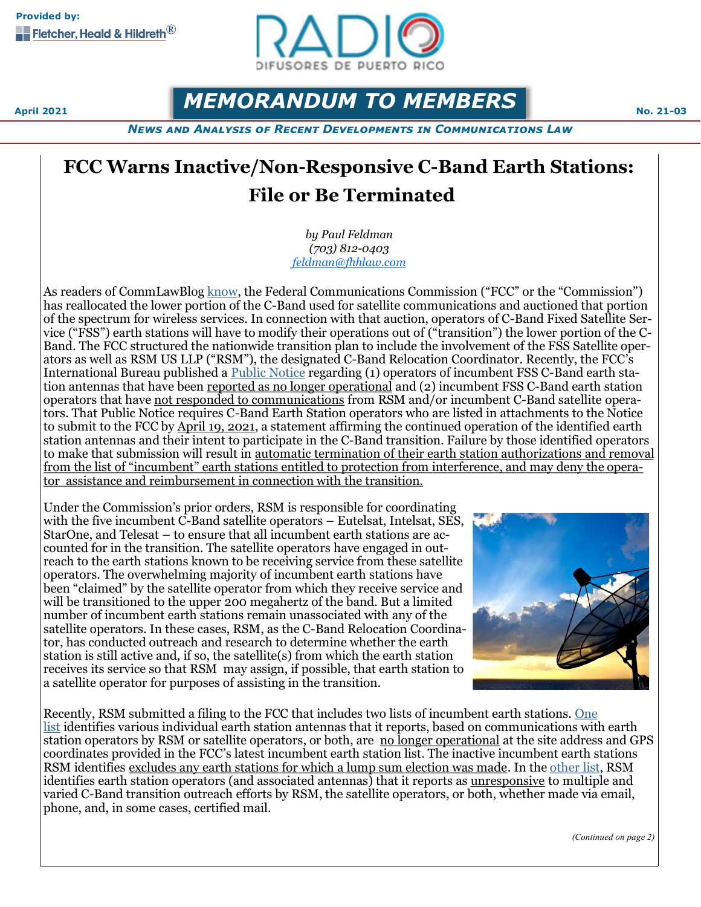

**April 2021 MEMORANDUM TO MEMBERS** 

*News and Analysis of Recent Developments in Communications Law*

# **FCC Warns Inactive/Non-Responsive C-Band Earth Stations: File or Be Terminated**

*by Paul Feldman (703) 812-0403 [feldman@fhhlaw.com](mailto:feldman@fhhlaw.com)*

As readers of CommLawBlog [know,](https://www.commlawblog.com/2020/08/articles/fcc/fcc-establishes-procedures-for-auction-of-c-band-spectrum-auction-to-begin-on-december-8-2020/) the Federal Communications Commission ("FCC" or the "Commission") has reallocated the lower portion of the C-Band used for satellite communications and auctioned that portion of the spectrum for wireless services. In connection with that auction, operators of C-Band Fixed Satellite Service ("FSS") earth stations will have to modify their operations out of ("transition") the lower portion of the C-Band. The FCC structured the nationwide transition plan to include the involvement of the FSS Satellite operators as well as RSM US LLP ("RSM"), the designated C-Band Relocation Coordinator. Recently, the FCC's International Bureau published a [Public Notice](https://docs.fcc.gov/public/attachments/DOC-369398A1.pdf) regarding (1) operators of incumbent FSS C-Band earth station antennas that have been reported as no longer operational and (2) incumbent FSS C-Band earth station operators that have not responded to communications from RSM and/or incumbent C-Band satellite operators. That Public Notice requires C-Band Earth Station operators who are listed in attachments to the Notice to submit to the FCC by April 19, 2021, a statement affirming the continued operation of the identified earth station antennas and their intent to participate in the C-Band transition. Failure by those identified operators to make that submission will result in automatic termination of their earth station authorizations and removal from the list of "incumbent" earth stations entitled to protection from interference, and may deny the operator assistance and reimbursement in connection with the transition.

Under the Commission's prior orders, RSM is responsible for coordinating with the five incumbent C-Band satellite operators – Eutelsat, Intelsat, SES, StarOne, and Telesat – to ensure that all incumbent earth stations are accounted for in the transition. The satellite operators have engaged in outreach to the earth stations known to be receiving service from these satellite operators. The overwhelming majority of incumbent earth stations have been "claimed" by the satellite operator from which they receive service and will be transitioned to the upper 200 megahertz of the band. But a limited number of incumbent earth stations remain unassociated with any of the satellite operators. In these cases, RSM, as the C-Band Relocation Coordinator, has conducted outreach and research to determine whether the earth station is still active and, if so, the satellite(s) from which the earth station receives its service so that RSM may assign, if possible, that earth station to a satellite operator for purposes of assisting in the transition.



Recently, RSM submitted a filing to the FCC that includes two lists of incumbent earth stations. [One](https://docs.fcc.gov/public/attachments/DOC-369398A2.pdf)  [list](https://docs.fcc.gov/public/attachments/DOC-369398A2.pdf) identifies various individual earth station antennas that it reports, based on communications with earth station operators by RSM or satellite operators, or both, are no longer operational at the site address and GPS coordinates provided in the FCC's latest incumbent earth station list. The inactive incumbent earth stations RSM identifies excludes any earth stations for which a lump sum election was made. In the [other list,](https://docs.fcc.gov/public/attachments/DOC-369398A3.pdf) RSM identifies earth station operators (and associated antennas) that it reports as <u>unresponsive</u> to multiple and varied C-Band transition outreach efforts by RSM, the satellite operators, or both, whether made via email, phone, and, in some cases, certified mail.

*(Continued on page 2)*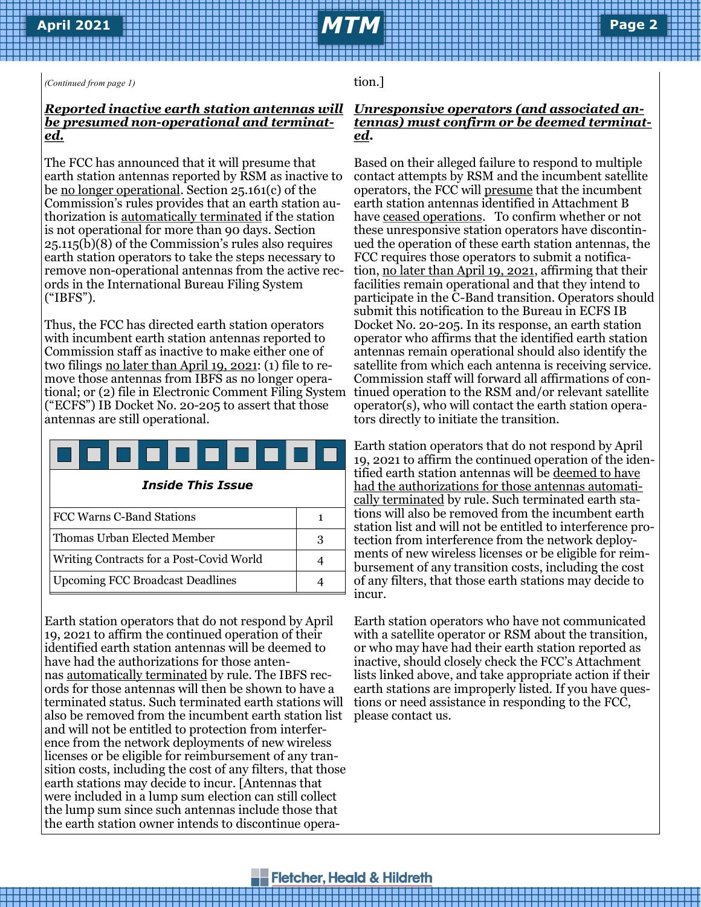*(Continued from page 1)*

### *Reported inactive earth station antennas will be presumed non-operational and terminated.*

The FCC has announced that it will presume that earth station antennas reported by RSM as inactive to be no longer operational. Section 25.161(c) of the Commission's rules provides that an earth station authorization is automatically terminated if the station is not operational for more than 90 days. Section 25.115(b)(8) of the Commission's rules also requires earth station operators to take the steps necessary to remove non-operational antennas from the active records in the International Bureau Filing System ("IBFS").

Thus, the FCC has directed earth station operators with incumbent earth station antennas reported to Commission staff as inactive to make either one of two filings <u>no later than April 19, 2021</u>: (1) file to remove those antennas from IBFS as no longer operational; or (2) file in Electronic Comment Filing System ("ECFS") IB Docket No. 20-205 to assert that those antennas are still operational.

|  | <b>Inside This Issue</b> |
|--|--------------------------|
|  |                          |

| FCC Warns C-Band Stations                |   |
|------------------------------------------|---|
| Thomas Urban Elected Member              | З |
| Writing Contracts for a Post-Covid World |   |
| <b>Upcoming FCC Broadcast Deadlines</b>  |   |

Earth station operators that do not respond by April 19, 2021 to affirm the continued operation of their identified earth station antennas will be deemed to have had the authorizations for those antennas automatically terminated by rule. The IBFS records for those antennas will then be shown to have a terminated status. Such terminated earth stations will also be removed from the incumbent earth station list and will not be entitled to protection from interference from the network deployments of new wireless licenses or be eligible for reimbursement of any transition costs, including the cost of any filters, that those earth stations may decide to incur. [Antennas that were included in a lump sum election can still collect the lump sum since such antennas include those that the earth station owner intends to discontinue opera-

tion.]

#### *Unresponsive operators (and associated antennas) must confirm or be deemed terminated***.**

Based on their alleged failure to respond to multiple contact attempts by RSM and the incumbent satellite operators, the FCC will presume that the incumbent earth station antennas identified in Attachment B have ceased operations. To confirm whether or not these unresponsive station operators have discontinued the operation of these earth station antennas, the FCC requires those operators to submit a notification, no later than April 19, 2021, affirming that their facilities remain operational and that they intend to participate in the C-Band transition. Operators should submit this notification to the Bureau in ECFS IB Docket No. 20-205. In its response, an earth station operator who affirms that the identified earth station antennas remain operational should also identify the satellite from which each antenna is receiving service. Commission staff will forward all affirmations of continued operation to the RSM and/or relevant satellite operator(s), who will contact the earth station operators directly to initiate the transition.

Earth station operators that do not respond by April 19, 2021 to affirm the continued operation of the identified earth station antennas will be deemed to have had the authorizations for those antennas automatically terminated by rule. Such terminated earth stations will also be removed from the incumbent earth station list and will not be entitled to interference protection from interference from the network deployments of new wireless licenses or be eligible for reimbursement of any transition costs, including the cost of any filters, that those earth stations may decide to incur.

Earth station operators who have not communicated with a satellite operator or RSM about the transition, or who may have had their earth station reported as inactive, should closely check the FCC's Attachment lists linked above, and take appropriate action if their earth stations are improperly listed. If you have questions or need assistance in responding to the FCC, please contact us.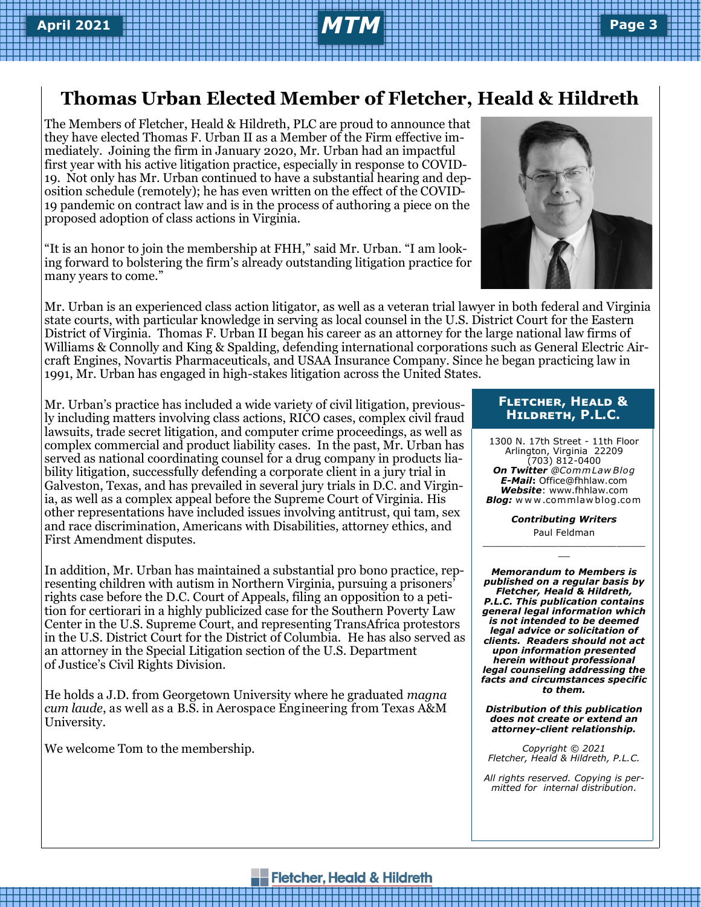## **Thomas Urban Elected Member of Fletcher, Heald & Hildreth**

The Members of Fletcher, Heald & Hildreth, PLC are proud to announce that they have elected Thomas F. Urban II as a Member of the Firm effective immediately. Joining the firm in January 2020, Mr. Urban had an impactful first year with his active litigation practice, especially in response to COVID-19. Not only has Mr. Urban continued to have a substantial hearing and deposition schedule (remotely); he has even written on the effect of the COVID-19 pandemic on contract law and is in the process of authoring a piece on the proposed adoption of class actions in Virginia.

"It is an honor to join the membership at FHH," said Mr. Urban. "I am looking forward to bolstering the firm's already outstanding litigation practice for many years to come."

Mr. Urban is an experienced class action litigator, as well as a veteran trial lawyer in both federal and Virginia state courts, with particular knowledge in serving as local counsel in the U.S. District Court for the Eastern District of Virginia. Thomas F. Urban II began his career as an attorney for the large national law firms of Williams & Connolly and King & Spalding, defending international corporations such as General Electric Aircraft Engines, Novartis Pharmaceuticals, and USAA Insurance Company. Since he began practicing law in 1991, Mr. Urban has engaged in high-stakes litigation across the United States.

Mr. Urban's practice has included a wide variety of civil litigation, previously including matters involving class actions, RICO cases, complex civil fraud lawsuits, trade secret litigation, and computer crime proceedings, as well as complex commercial and product liability cases. In the past, Mr. Urban has served as national coordinating counsel for a drug company in products liability litigation, successfully defending a corporate client in a jury trial in Galveston, Texas, and has prevailed in several jury trials in D.C. and Virginia, as well as a complex appeal before the Supreme Court of Virginia. His other representations have included issues involving antitrust, qui tam, sex and race discrimination, Americans with Disabilities, attorney ethics, and First Amendment disputes.

In addition, Mr. Urban has maintained a substantial pro bono practice, representing children with autism in Northern Virginia, pursuing a prisoners' rights case before the D.C. Court of Appeals, filing an opposition to a petition for certiorari in a highly publicized case for the Southern Poverty Law Center in the U.S. Supreme Court, and representing TransAfrica protestors in the U.S. District Court for the District of Columbia. He has also served as an attorney in the Special Litigation section of the U.S. Department of Justice's Civil Rights Division.

He holds a J.D. from Georgetown University where he graduated *magna cum laude*, as well as a B.S. in Aerospace Engineering from Texas A&M University.

We welcome Tom to the membership.

#### **Fletcher, Heald & Hildreth, P.L.C.**

1300 N. 17th Street - 11th Floor Arlington, Virginia 22209 (703) 812-0400 *On Twitter @Comm Law Blog E-Mail***:** Office@fhhlaw.com *Website*: www.fhhlaw.com *Blog:* w w w .commlaw blog.com

*Contributing Writers* Paul Feldman \_\_\_\_\_\_\_\_\_\_\_\_\_\_\_\_\_\_\_\_\_\_\_\_\_\_\_\_

 $\overline{a}$ 

*Memorandum to Members is published on a regular basis by Fletcher, Heald & Hildreth, P.L.C. This publication contains general legal information which is not intended to be deemed legal advice or solicitation of clients. Readers should not act upon information presented herein without professional legal counseling addressing the facts and circumstances specific to them.*

*Distribution of this publication does not create or extend an attorney-client relationship.* 

*Copyright © 2021 Fletcher, Heald & Hildreth, P.L.C.*

*All rights reserved. Copying is permitted for internal distribution.*